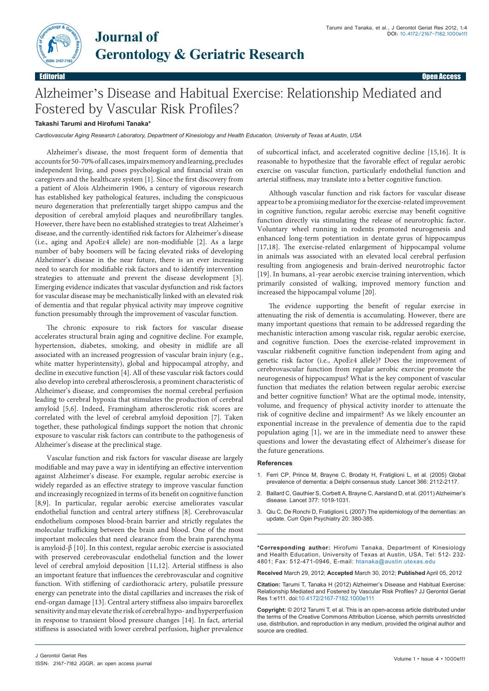

## Alzheimer's Disease and Habitual Exercise: Relationship Mediated and Fostered by Vascular Risk Profiles?

## **Takashi Tarumi and Hirofumi Tanaka\***

**Journal of**

*Cardiovascular Aging Research Laboratory, Department of Kinesiology and Health Education, University of Texas at Austin, USA*

Alzheimer's disease, the most frequent form of dementia that accounts for 50-70% of all cases, impairs memory and learning, precludes independent living, and poses psychological and financial strain on caregivers and the healthcare system [1]. Since the first discovery from a patient of Alois Alzheimerin 1906, a century of vigorous research has established key pathological features, including the conspicuous neuro degeneration that preferentially target shippo campus and the deposition of cerebral amyloid plaques and neurofibrillary tangles. However, there have been no established strategies to treat Alzheimer's disease, and the currently-identified risk factors for Alzheimer's disease (i.e., aging and ApoEɛ4 allele) are non-modifiable [2]. As a large number of baby boomers will be facing elevated risks of developing Alzheimer's disease in the near future, there is an ever increasing need to search for modifiable risk factors and to identify intervention strategies to attenuate and prevent the disease development [3]. Emerging evidence indicates that vascular dysfunction and risk factors for vascular disease may be mechanistically linked with an elevated risk of dementia and that regular physical activity may improve cognitive function presumably through the improvement of vascular function.

The chronic exposure to risk factors for vascular disease accelerates structural brain aging and cognitive decline. For example, hypertension, diabetes, smoking, and obesity in midlife are all associated with an increased progression of vascular brain injury (e.g., white matter hyperintensity), global and hippocampal atrophy, and decline in executive function [4]. All of these vascular risk factors could also develop into cerebral atherosclerosis, a prominent characteristic of Alzheimer's disease, and compromises the normal cerebral perfusion leading to cerebral hypoxia that stimulates the production of cerebral amyloid [5,6]. Indeed, Framingham atherosclerotic risk scores are correlated with the level of cerebral amyloid deposition [7]. Taken together, these pathological findings support the notion that chronic exposure to vascular risk factors can contribute to the pathogenesis of Alzheimer's disease at the preclinical stage.

Vascular function and risk factors for vascular disease are largely modifiable and may pave a way in identifying an effective intervention against Alzheimer's disease. For example, regular aerobic exercise is widely regarded as an effective strategy to improve vascular function and increasingly recognized in terms of its benefit on cognitive function [8,9]. In particular, regular aerobic exercise ameliorates vascular endothelial function and central artery stiffness [8]. Cerebrovascular endothelium composes blood-brain barrier and strictly regulates the molecular trafficking between the brain and blood. One of the most important molecules that need clearance from the brain parenchyma is amyloid-β [10]. In this context, regular aerobic exercise is associated with preserved cerebrovascular endothelial function and the lower level of cerebral amyloid deposition [11,12]. Arterial stiffness is also an important feature that influences the cerebrovascular and cognitive function. With stiffening of cardiothoracic artery, pulsatile pressure energy can penetrate into the distal capillaries and increases the risk of end-organ damage [13]. Central artery stiffness also impairs baroreflex sensitivity and may elevate the risk of cerebral hypo- and hyperperfusion in response to transient blood pressure changes [14]. In fact, arterial stiffness is associated with lower cerebral perfusion, higher prevalence of subcortical infact, and accelerated cognitive decline [15,16]. It is reasonable to hypothesize that the favorable effect of regular aerobic exercise on vascular function, particularly endothelial function and arterial stiffness, may translate into a better cognitive function.

Although vascular function and risk factors for vascular disease appear to be a promising mediator for the exercise-related improvement in cognitive function, regular aerobic exercise may benefit cognitive function directly via stimulating the release of neurotrophic factor. Voluntary wheel running in rodents promoted neurogenesis and enhanced long-term potentiation in dentate gyrus of hippocampus [17,18]. The exercise-related enlargement of hippocampal volume in animals was associated with an elevated local cerebral perfusion resulting from angiogenesis and brain-derived neurotrophic factor [19]. In humans, a1-year aerobic exercise training intervention, which primarily consisted of walking, improved memory function and increased the hippocampal volume [20].

The evidence supporting the benefit of regular exercise in attenuating the risk of dementia is accumulating. However, there are many important questions that remain to be addressed regarding the mechanistic interaction among vascular risk, regular aerobic exercise, and cognitive function. Does the exercise-related improvement in vascular riskbenefit cognitive function independent from aging and genetic risk factor (i.e., ApoEɛ4 allele)? Does the improvement of cerebrovascular function from regular aerobic exercise promote the neurogenesis of hippocampus? What is the key component of vascular function that mediates the relation between regular aerobic exercise and better cognitive function? What are the optimal mode, intensity, volume, and frequency of physical activity inorder to attenuate the risk of cognitive decline and impairment? As we likely encounter an exponential increase in the prevalence of dementia due to the rapid population aging [1], we are in the immediate need to answer these questions and lower the devastating effect of Alzheimer's disease for the future generations.

## **References**

- 1. [Ferri CP, Prince M, Brayne C, Brodaty H, Fratiglioni L, et al. \(2005\) Global](http://www.ncbi.nlm.nih.gov/pubmed/16360788)  [prevalence of dementia: a Delphi consensus study](http://www.ncbi.nlm.nih.gov/pubmed/16360788)*.* Lancet 366: 2112-2117.
- 2. [Ballard C, Gauthier S, Corbett A, Brayne C, Aarsland D, et al. \(2011\) Alzheimer's](http://www.ncbi.nlm.nih.gov/pubmed/21371747)  disease*.* [Lancet 377: 1019-1031.](http://www.ncbi.nlm.nih.gov/pubmed/21371747)
- 3. [Qiu C, De Ronchi D, Fratiglioni L \(2007\) The epidemiology of the dementias: an](http://www.ncbi.nlm.nih.gov/pubmed/17551353)  update*.* [Curr Opin Psychiatry 20: 380-385.](http://www.ncbi.nlm.nih.gov/pubmed/17551353)

**\*Corresponding author:** Hirofumi Tanaka, Department of Kinesiology and Health Education, University of Texas at Austin, USA, Tel: 512- 232- 4801; Fax: 512-471-0946, E-mail: htanaka@austin.utexas.edu

**Received** March 29, 2012; **Accepted** March 30, 2012; **Published** April 05, 2012

**Citation:** Tarumi T, Tanaka H (2012) Alzheimer's Disease and Habitual Exercise: Relationship Mediated and Fostered by Vascular Risk Profiles? JJ Gerontol Geriat Res 1:e111. doi:10.4172/2167-7182.1000e111

**Copyright:** © 2012 Tarumi T, et al. This is an open-access article distributed under the terms of the Creative Commons Attribution License, which permits unrestricted use, distribution, and reproduction in any medium, provided the original author and source are credited.